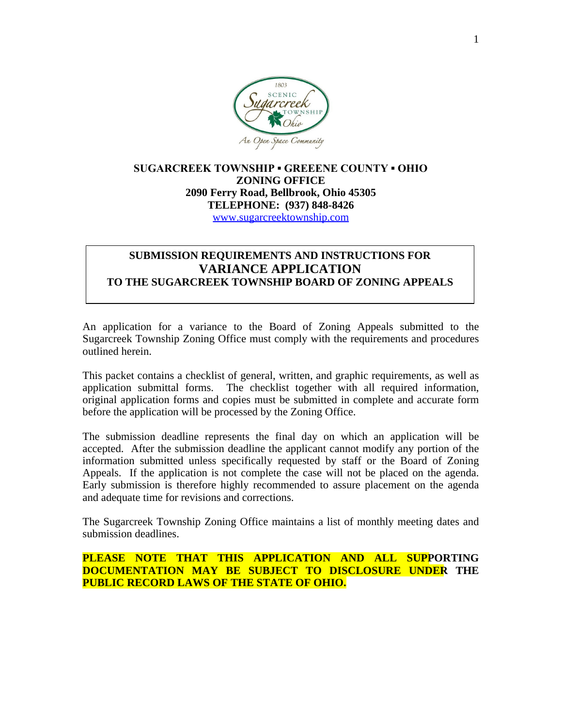

## **SUGARCREEK TOWNSHIP ▪ GREEENE COUNTY ▪ OHIO ZONING OFFICE 2090 Ferry Road, Bellbrook, Ohio 45305 TELEPHONE: (937) 848-8426** [www.sugarcreektownship.com](http://www.sugarcreektownship.com)

# **SUBMISSION REQUIREMENTS AND INSTRUCTIONS FOR VARIANCE APPLICATION TO THE SUGARCREEK TOWNSHIP BOARD OF ZONING APPEALS**

An application for a variance to the Board of Zoning Appeals submitted to the Sugarcreek Township Zoning Office must comply with the requirements and procedures outlined herein.

This packet contains a checklist of general, written, and graphic requirements, as well as application submittal forms. The checklist together with all required information, original application forms and copies must be submitted in complete and accurate form before the application will be processed by the Zoning Office.

The submission deadline represents the final day on which an application will be accepted. After the submission deadline the applicant cannot modify any portion of the information submitted unless specifically requested by staff or the Board of Zoning Appeals. If the application is not complete the case will not be placed on the agenda. Early submission is therefore highly recommended to assure placement on the agenda and adequate time for revisions and corrections.

The Sugarcreek Township Zoning Office maintains a list of monthly meeting dates and submission deadlines.

# **PLEASE NOTE THAT THIS APPLICATION AND ALL SUPPORTING DOCUMENTATION MAY BE SUBJECT TO DISCLOSURE UNDER THE PUBLIC RECORD LAWS OF THE STATE OF OHIO.**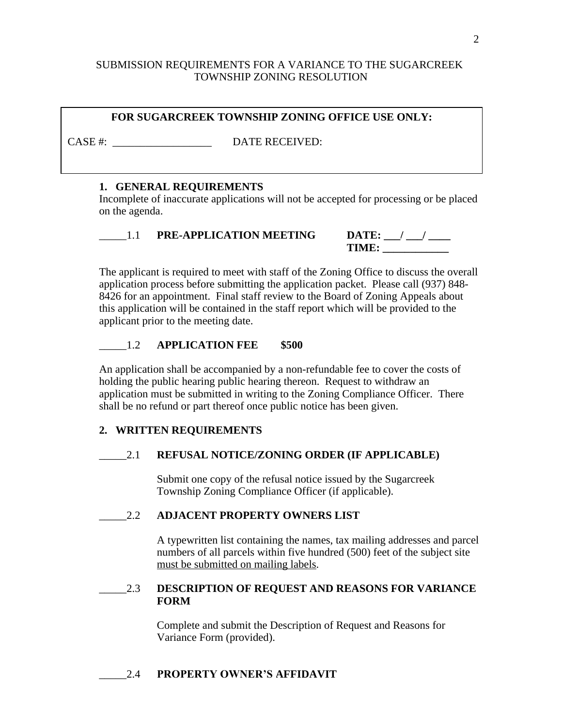## SUBMISSION REQUIREMENTS FOR A VARIANCE TO THE SUGARCREEK TOWNSHIP ZONING RESOLUTION

# **FOR SUGARCREEK TOWNSHIP ZONING OFFICE USE ONLY:**

CASE #:  $\blacksquare$ 

#### **1. GENERAL REQUIREMENTS**

Incomplete of inaccurate applications will not be accepted for processing or be placed on the agenda.

\_\_\_\_\_1.1 **PRE-APPLICATION MEETING DATE: \_\_\_/ \_\_\_/ \_\_\_\_**

**TIME: \_\_\_\_\_\_\_\_\_\_\_\_**

The applicant is required to meet with staff of the Zoning Office to discuss the overall application process before submitting the application packet. Please call (937) 848- 8426 for an appointment. Final staff review to the Board of Zoning Appeals about this application will be contained in the staff report which will be provided to the applicant prior to the meeting date.

## \_\_\_\_\_1.2 **APPLICATION FEE \$500**

An application shall be accompanied by a non-refundable fee to cover the costs of holding the public hearing public hearing thereon. Request to withdraw an application must be submitted in writing to the Zoning Compliance Officer. There shall be no refund or part thereof once public notice has been given.

## **2. WRITTEN REQUIREMENTS**

## \_\_\_\_\_2.1 **REFUSAL NOTICE/ZONING ORDER (IF APPLICABLE)**

Submit one copy of the refusal notice issued by the Sugarcreek Township Zoning Compliance Officer (if applicable).

## \_\_\_\_\_2.2 **ADJACENT PROPERTY OWNERS LIST**

A typewritten list containing the names, tax mailing addresses and parcel numbers of all parcels within five hundred (500) feet of the subject site must be submitted on mailing labels.

#### \_\_\_\_\_2.3 **DESCRIPTION OF REQUEST AND REASONS FOR VARIANCE FORM**

Complete and submit the Description of Request and Reasons for Variance Form (provided).

## \_\_\_\_\_2.4 **PROPERTY OWNER'S AFFIDAVIT**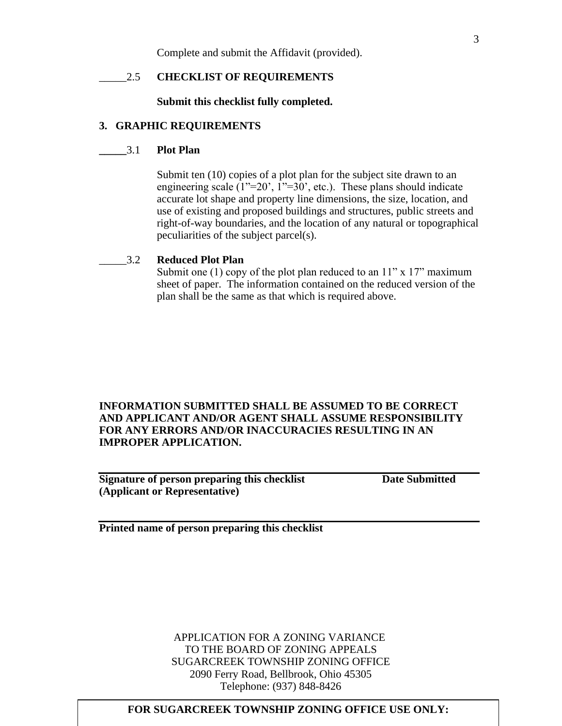Complete and submit the Affidavit (provided).

#### \_\_\_\_\_2.5 **CHECKLIST OF REQUIREMENTS**

**Submit this checklist fully completed.**

#### **3. GRAPHIC REQUIREMENTS**

#### **\_\_\_\_\_**3.1 **Plot Plan**

Submit ten (10) copies of a plot plan for the subject site drawn to an engineering scale  $(1^{\prime\prime}=20^{\prime}, 1^{\prime\prime}=30^{\prime})$ , etc.). These plans should indicate accurate lot shape and property line dimensions, the size, location, and use of existing and proposed buildings and structures, public streets and right-of-way boundaries, and the location of any natural or topographical peculiarities of the subject parcel(s).

#### \_\_\_\_\_3.2 **Reduced Plot Plan**

Submit one (1) copy of the plot plan reduced to an  $11"$  x  $17"$  maximum sheet of paper. The information contained on the reduced version of the plan shall be the same as that which is required above.

## **INFORMATION SUBMITTED SHALL BE ASSUMED TO BE CORRECT AND APPLICANT AND/OR AGENT SHALL ASSUME RESPONSIBILITY FOR ANY ERRORS AND/OR INACCURACIES RESULTING IN AN IMPROPER APPLICATION.**

**Signature of person preparing this checklist Date Submitted (Applicant or Representative)**

**Printed name of person preparing this checklist**

APPLICATION FOR A ZONING VARIANCE TO THE BOARD OF ZONING APPEALS SUGARCREEK TOWNSHIP ZONING OFFICE 2090 Ferry Road, Bellbrook, Ohio 45305 Telephone: (937) 848-8426

#### **FOR SUGARCREEK TOWNSHIP ZONING OFFICE USE ONLY:**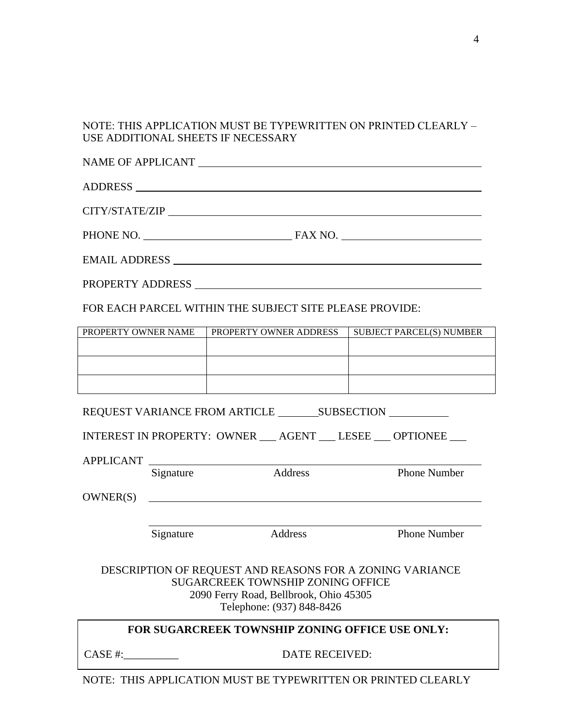# NOTE: THIS APPLICATION MUST BE TYPEWRITTEN ON PRINTED CLEARLY – USE ADDITIONAL SHEETS IF NECESSARY

| FOR EACH PARCEL WITHIN THE SUBJECT SITE PLEASE PROVIDE:                                                                                                                     |                |                                                              |                                 |  |  |  |
|-----------------------------------------------------------------------------------------------------------------------------------------------------------------------------|----------------|--------------------------------------------------------------|---------------------------------|--|--|--|
| PROPERTY OWNER NAME                                                                                                                                                         |                | PROPERTY OWNER ADDRESS                                       | <b>SUBJECT PARCEL(S) NUMBER</b> |  |  |  |
|                                                                                                                                                                             |                |                                                              |                                 |  |  |  |
|                                                                                                                                                                             |                |                                                              |                                 |  |  |  |
|                                                                                                                                                                             |                |                                                              |                                 |  |  |  |
|                                                                                                                                                                             |                |                                                              |                                 |  |  |  |
|                                                                                                                                                                             |                | INTEREST IN PROPERTY: OWNER __ AGENT __ LESEE __ OPTIONEE __ |                                 |  |  |  |
|                                                                                                                                                                             |                | APPLICANT                                                    |                                 |  |  |  |
|                                                                                                                                                                             | Signature      | Address                                                      | <b>Phone Number</b>             |  |  |  |
| OWNER(S)                                                                                                                                                                    |                | <u> 1990 - Johann Stoff, amerikansk politiker (d. 1980)</u>  |                                 |  |  |  |
|                                                                                                                                                                             |                |                                                              |                                 |  |  |  |
|                                                                                                                                                                             | Signature      | Address                                                      | <b>Phone Number</b>             |  |  |  |
| DESCRIPTION OF REQUEST AND REASONS FOR A ZONING VARIANCE<br><b>SUGARCREEK TOWNSHIP ZONING OFFICE</b><br>2090 Ferry Road, Bellbrook, Ohio 45305<br>Telephone: (937) 848-8426 |                |                                                              |                                 |  |  |  |
| FOR SUGARCREEK TOWNSHIP ZONING OFFICE USE ONLY:                                                                                                                             |                |                                                              |                                 |  |  |  |
| CASE #:                                                                                                                                                                     | DATE RECEIVED: |                                                              |                                 |  |  |  |

NOTE: THIS APPLICATION MUST BE TYPEWRITTEN OR PRINTED CLEARLY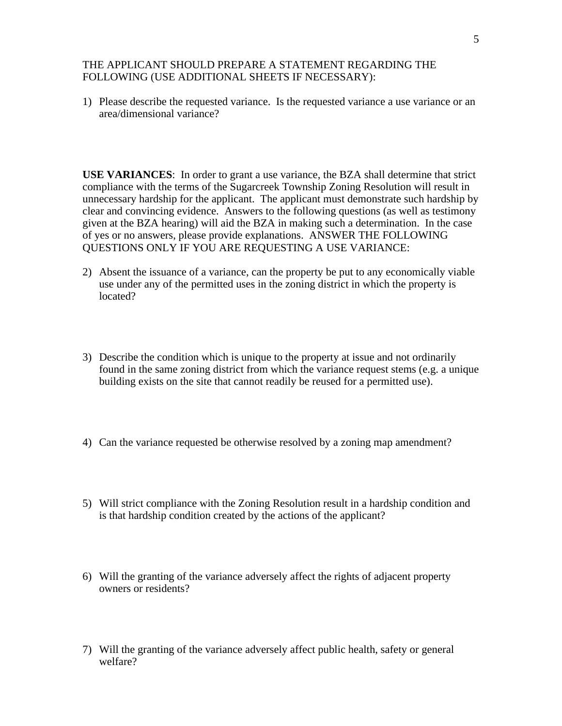#### THE APPLICANT SHOULD PREPARE A STATEMENT REGARDING THE FOLLOWING (USE ADDITIONAL SHEETS IF NECESSARY):

1) Please describe the requested variance. Is the requested variance a use variance or an area/dimensional variance?

**USE VARIANCES**: In order to grant a use variance, the BZA shall determine that strict compliance with the terms of the Sugarcreek Township Zoning Resolution will result in unnecessary hardship for the applicant. The applicant must demonstrate such hardship by clear and convincing evidence. Answers to the following questions (as well as testimony given at the BZA hearing) will aid the BZA in making such a determination. In the case of yes or no answers, please provide explanations. ANSWER THE FOLLOWING QUESTIONS ONLY IF YOU ARE REQUESTING A USE VARIANCE:

- 2) Absent the issuance of a variance, can the property be put to any economically viable use under any of the permitted uses in the zoning district in which the property is located?
- 3) Describe the condition which is unique to the property at issue and not ordinarily found in the same zoning district from which the variance request stems (e.g. a unique building exists on the site that cannot readily be reused for a permitted use).
- 4) Can the variance requested be otherwise resolved by a zoning map amendment?
- 5) Will strict compliance with the Zoning Resolution result in a hardship condition and is that hardship condition created by the actions of the applicant?
- 6) Will the granting of the variance adversely affect the rights of adjacent property owners or residents?
- 7) Will the granting of the variance adversely affect public health, safety or general welfare?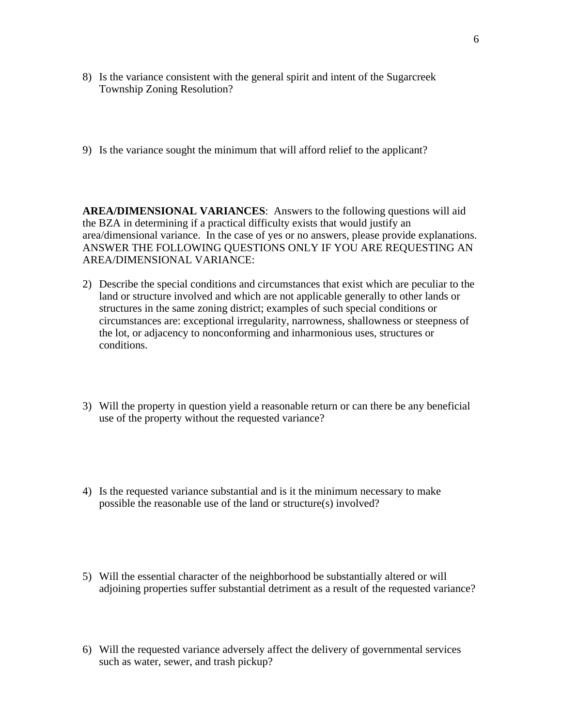- 8) Is the variance consistent with the general spirit and intent of the Sugarcreek Township Zoning Resolution?
- 9) Is the variance sought the minimum that will afford relief to the applicant?

**AREA/DIMENSIONAL VARIANCES**: Answers to the following questions will aid the BZA in determining if a practical difficulty exists that would justify an area/dimensional variance. In the case of yes or no answers, please provide explanations. ANSWER THE FOLLOWING QUESTIONS ONLY IF YOU ARE REQUESTING AN AREA/DIMENSIONAL VARIANCE:

- 2) Describe the special conditions and circumstances that exist which are peculiar to the land or structure involved and which are not applicable generally to other lands or structures in the same zoning district; examples of such special conditions or circumstances are: exceptional irregularity, narrowness, shallowness or steepness of the lot, or adjacency to nonconforming and inharmonious uses, structures or conditions.
- 3) Will the property in question yield a reasonable return or can there be any beneficial use of the property without the requested variance?
- 4) Is the requested variance substantial and is it the minimum necessary to make possible the reasonable use of the land or structure(s) involved?
- 5) Will the essential character of the neighborhood be substantially altered or will adjoining properties suffer substantial detriment as a result of the requested variance?
- 6) Will the requested variance adversely affect the delivery of governmental services such as water, sewer, and trash pickup?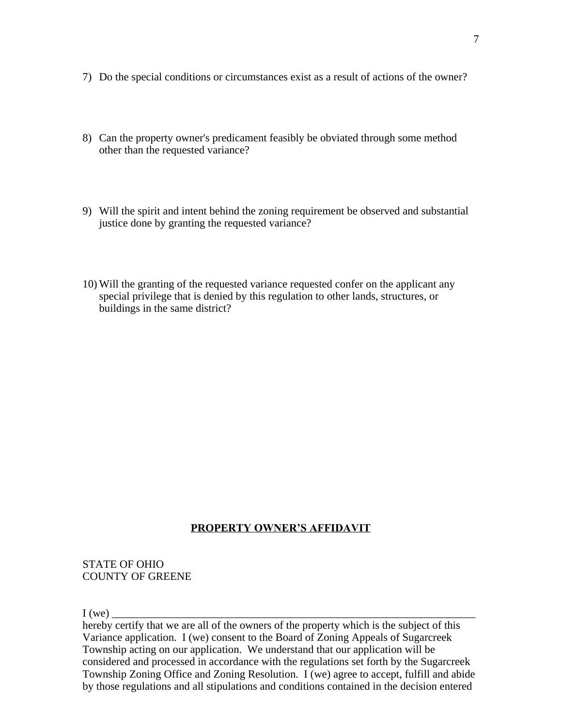- 7) Do the special conditions or circumstances exist as a result of actions of the owner?
- 8) Can the property owner's predicament feasibly be obviated through some method other than the requested variance?
- 9) Will the spirit and intent behind the zoning requirement be observed and substantial justice done by granting the requested variance?
- 10) Will the granting of the requested variance requested confer on the applicant any special privilege that is denied by this regulation to other lands, structures, or buildings in the same district?

# **PROPERTY OWNER'S AFFIDAVIT**

#### STATE OF OHIO COUNTY OF GREENE

I (we) \_\_\_\_\_\_\_\_\_\_\_\_\_\_\_\_\_\_\_\_\_\_\_\_\_\_\_\_\_\_\_\_\_\_\_\_\_\_\_\_\_\_\_\_\_\_\_\_\_\_\_\_\_\_\_\_\_\_\_\_\_\_\_\_\_\_

hereby certify that we are all of the owners of the property which is the subject of this Variance application. I (we) consent to the Board of Zoning Appeals of Sugarcreek Township acting on our application. We understand that our application will be considered and processed in accordance with the regulations set forth by the Sugarcreek Township Zoning Office and Zoning Resolution. I (we) agree to accept, fulfill and abide by those regulations and all stipulations and conditions contained in the decision entered